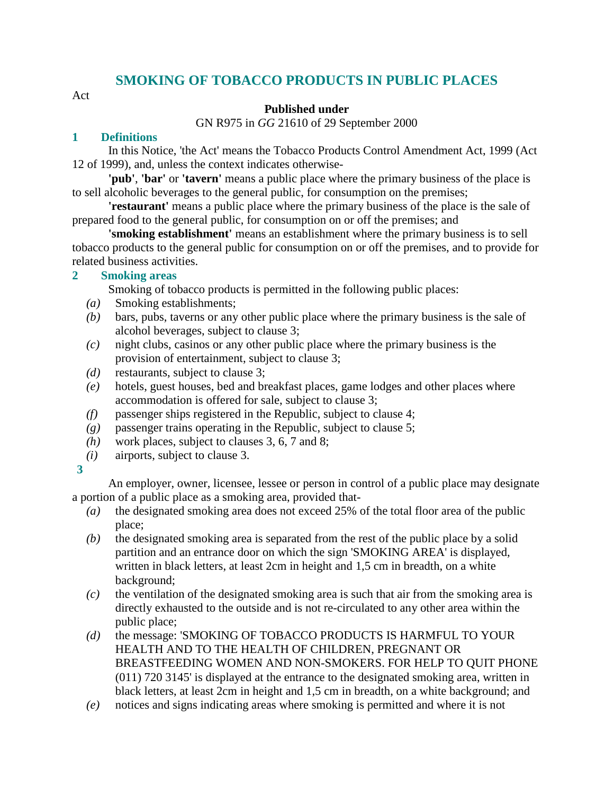## **SMOKING OF TOBACCO PRODUCTS IN PUBLIC PLACES**

Act

## **Published under**

GN R975 in *GG* 21610 of 29 September 2000

## **1 Definitions**

 In this Notice, 'the Act' means the Tobacco Products Control Amendment Act, 1999 (Act 12 of 1999), and, unless the context indicates otherwise-

**'pub'**, **'bar'** or **'tavern'** means a public place where the primary business of the place is to sell alcoholic beverages to the general public, for consumption on the premises;

**'restaurant'** means a public place where the primary business of the place is the sale of prepared food to the general public, for consumption on or off the premises; and

**'smoking establishment'** means an establishment where the primary business is to sell tobacco products to the general public for consumption on or off the premises, and to provide for related business activities.

## **2 Smoking areas**

Smoking of tobacco products is permitted in the following public places:

- *(a)* Smoking establishments;
- *(b)* bars, pubs, taverns or any other public place where the primary business is the sale of alcohol beverages, subject to clause 3;
- *(c)* night clubs, casinos or any other public place where the primary business is the provision of entertainment, subject to clause 3;
- *(d)* restaurants, subject to clause 3;
- *(e)* hotels, guest houses, bed and breakfast places, game lodges and other places where accommodation is offered for sale, subject to clause 3;
- *(f)* passenger ships registered in the Republic, subject to clause 4;
- *(g)* passenger trains operating in the Republic, subject to clause 5;
- *(h)* work places, subject to clauses 3, 6, 7 and 8;
- *(i)* airports, subject to clause 3.
- **3**

 An employer, owner, licensee, lessee or person in control of a public place may designate a portion of a public place as a smoking area, provided that-

- *(a)* the designated smoking area does not exceed 25% of the total floor area of the public place;
- *(b)* the designated smoking area is separated from the rest of the public place by a solid partition and an entrance door on which the sign 'SMOKING AREA' is displayed, written in black letters, at least 2cm in height and 1,5 cm in breadth, on a white background;
- *(c)* the ventilation of the designated smoking area is such that air from the smoking area is directly exhausted to the outside and is not re-circulated to any other area within the public place;
- *(d)* the message: 'SMOKING OF TOBACCO PRODUCTS IS HARMFUL TO YOUR HEALTH AND TO THE HEALTH OF CHILDREN, PREGNANT OR BREASTFEEDING WOMEN AND NON-SMOKERS. FOR HELP TO QUIT PHONE (011) 720 3145' is displayed at the entrance to the designated smoking area, written in black letters, at least 2cm in height and 1,5 cm in breadth, on a white background; and
- *(e)* notices and signs indicating areas where smoking is permitted and where it is not